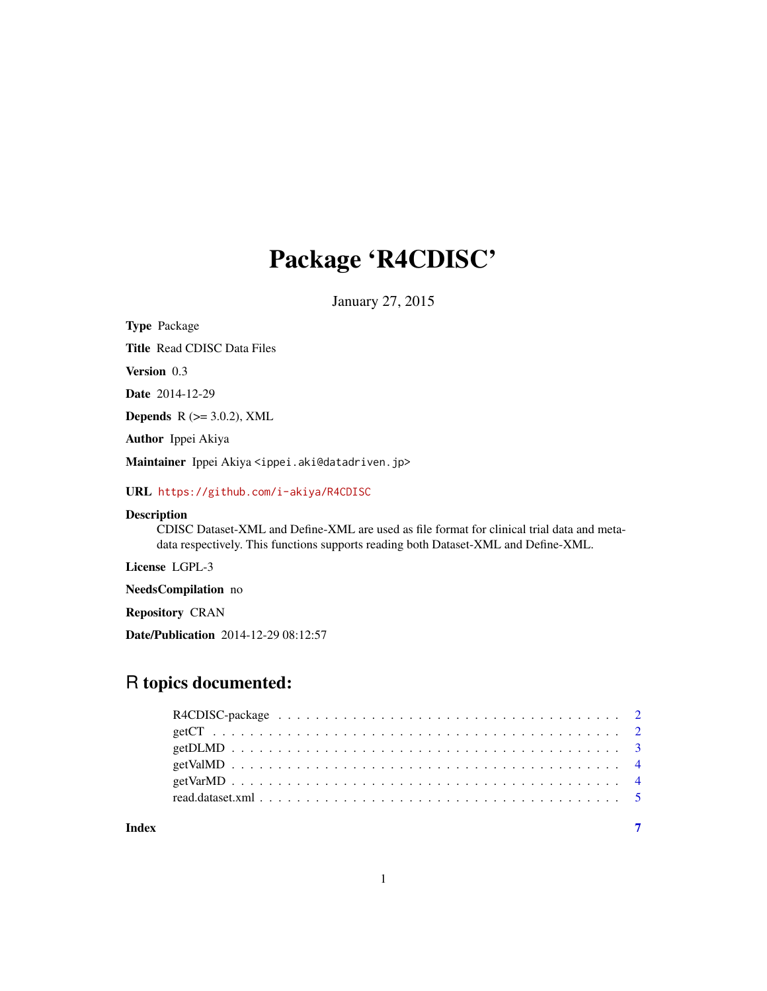## Package 'R4CDISC'

January 27, 2015

Type Package Title Read CDISC Data Files Version 0.3 Date 2014-12-29 Depends  $R$  ( $>=$  3.0.2), XML Author Ippei Akiya Maintainer Ippei Akiya <ippei.aki@datadriven.jp> URL <https://github.com/i-akiya/R4CDISC>

Description

CDISC Dataset-XML and Define-XML are used as file format for clinical trial data and metadata respectively. This functions supports reading both Dataset-XML and Define-XML.

License LGPL-3

NeedsCompilation no

Repository CRAN

Date/Publication 2014-12-29 08:12:57

### R topics documented:

| Index |  |
|-------|--|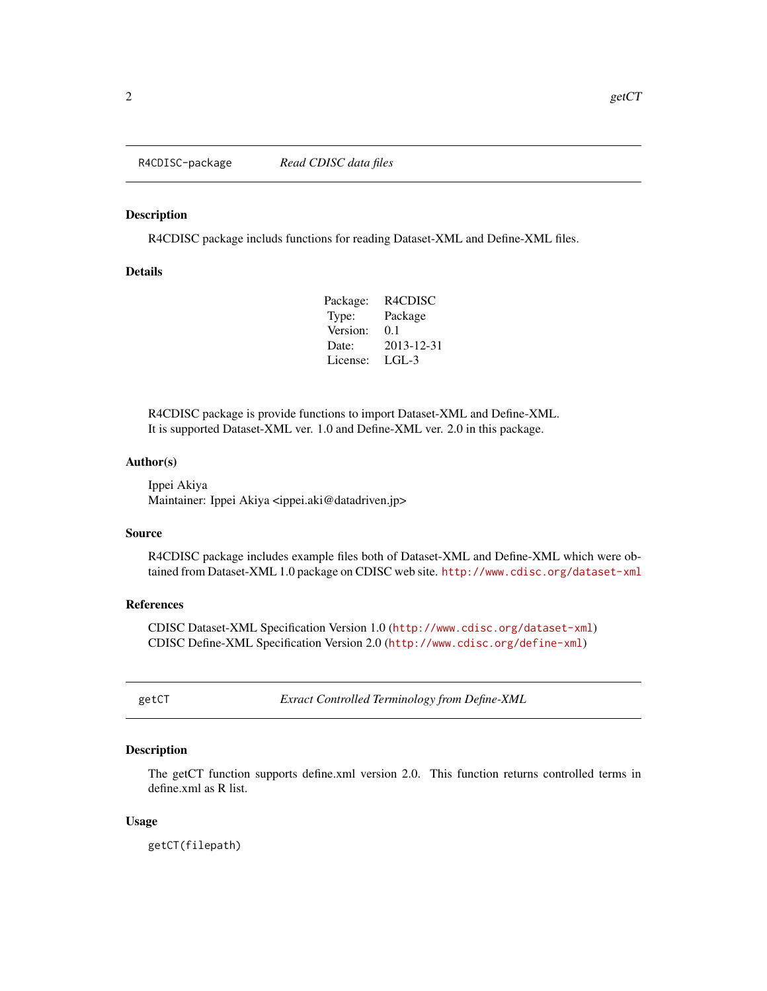<span id="page-1-0"></span>

#### Description

R4CDISC package includs functions for reading Dataset-XML and Define-XML files.

#### Details

| R4CDISC    |
|------------|
| Package    |
| 0.1        |
| 2013-12-31 |
| LGL-3      |
|            |

R4CDISC package is provide functions to import Dataset-XML and Define-XML. It is supported Dataset-XML ver. 1.0 and Define-XML ver. 2.0 in this package.

#### Author(s)

Ippei Akiya Maintainer: Ippei Akiya <ippei.aki@datadriven.jp>

#### Source

R4CDISC package includes example files both of Dataset-XML and Define-XML which were obtained from Dataset-XML 1.0 package on CDISC web site. <http://www.cdisc.org/dataset-xml>

#### References

CDISC Dataset-XML Specification Version 1.0 (<http://www.cdisc.org/dataset-xml>) CDISC Define-XML Specification Version 2.0 (<http://www.cdisc.org/define-xml>)

getCT *Exract Controlled Terminology from Define-XML*

#### Description

The getCT function supports define.xml version 2.0. This function returns controlled terms in define.xml as R list.

#### Usage

getCT(filepath)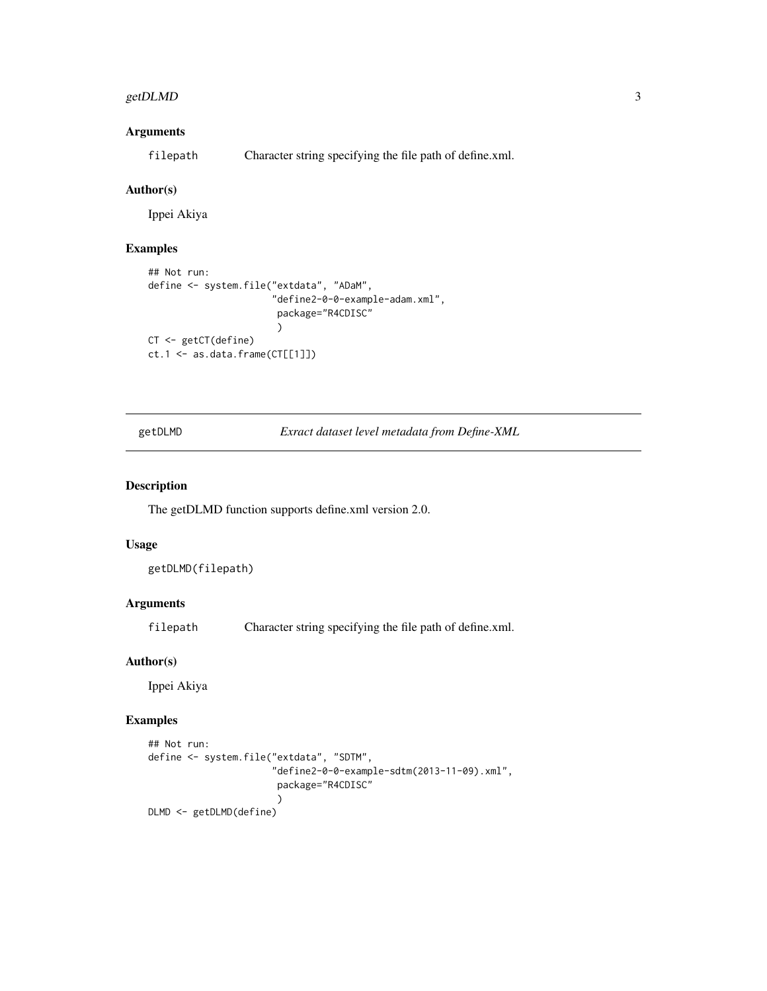#### <span id="page-2-0"></span>getDLMD 3

#### Arguments

filepath Character string specifying the file path of define.xml.

#### Author(s)

Ippei Akiya

#### Examples

```
## Not run:
define <- system.file("extdata", "ADaM",
                      "define2-0-0-example-adam.xml",
                       package="R4CDISC"
                       )
CT <- getCT(define)
ct.1 <- as.data.frame(CT[[1]])
```
getDLMD *Exract dataset level metadata from Define-XML*

#### Description

The getDLMD function supports define.xml version 2.0.

#### Usage

getDLMD(filepath)

#### Arguments

filepath Character string specifying the file path of define.xml.

#### Author(s)

Ippei Akiya

#### Examples

```
## Not run:
define <- system.file("extdata", "SDTM",
                      "define2-0-0-example-sdtm(2013-11-09).xml",
                       package="R4CDISC"
                       )
DLMD <- getDLMD(define)
```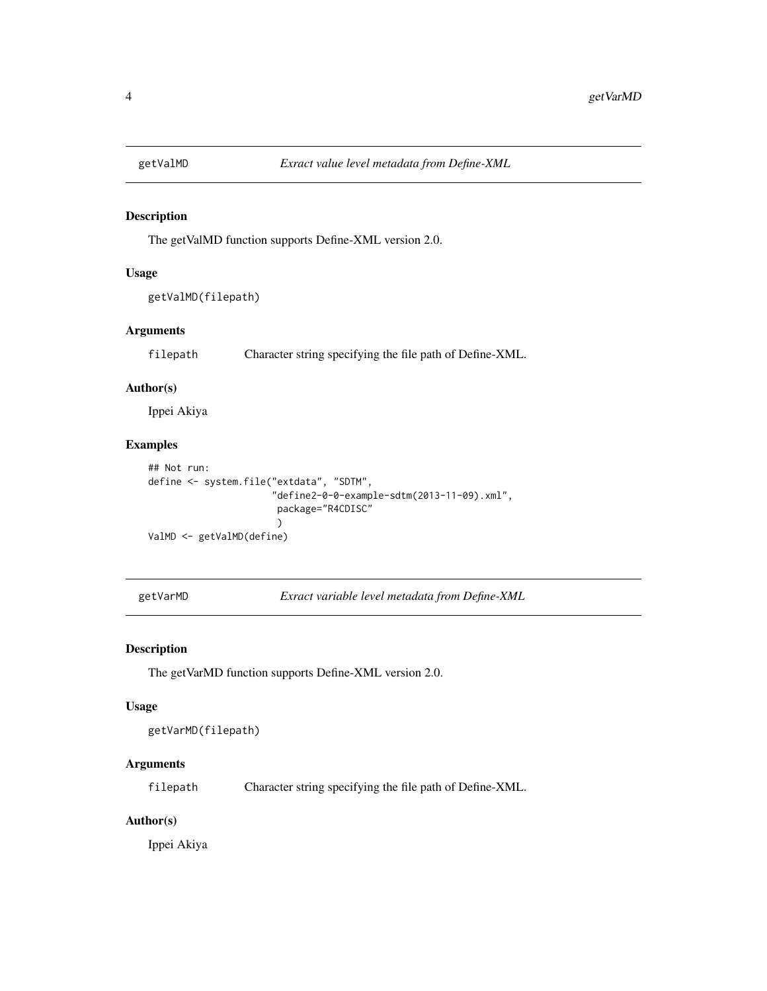<span id="page-3-0"></span>

#### Description

The getValMD function supports Define-XML version 2.0.

#### Usage

```
getValMD(filepath)
```
#### Arguments

filepath Character string specifying the file path of Define-XML.

#### Author(s)

Ippei Akiya

#### Examples

```
## Not run:
define <- system.file("extdata", "SDTM",
                       "define2-0-0-example-sdtm(2013-11-09).xml",
                        package="R4CDISC"
                        \lambdaValMD <- getValMD(define)
```
getVarMD *Exract variable level metadata from Define-XML*

#### Description

The getVarMD function supports Define-XML version 2.0.

#### Usage

```
getVarMD(filepath)
```
#### Arguments

filepath Character string specifying the file path of Define-XML.

#### Author(s)

Ippei Akiya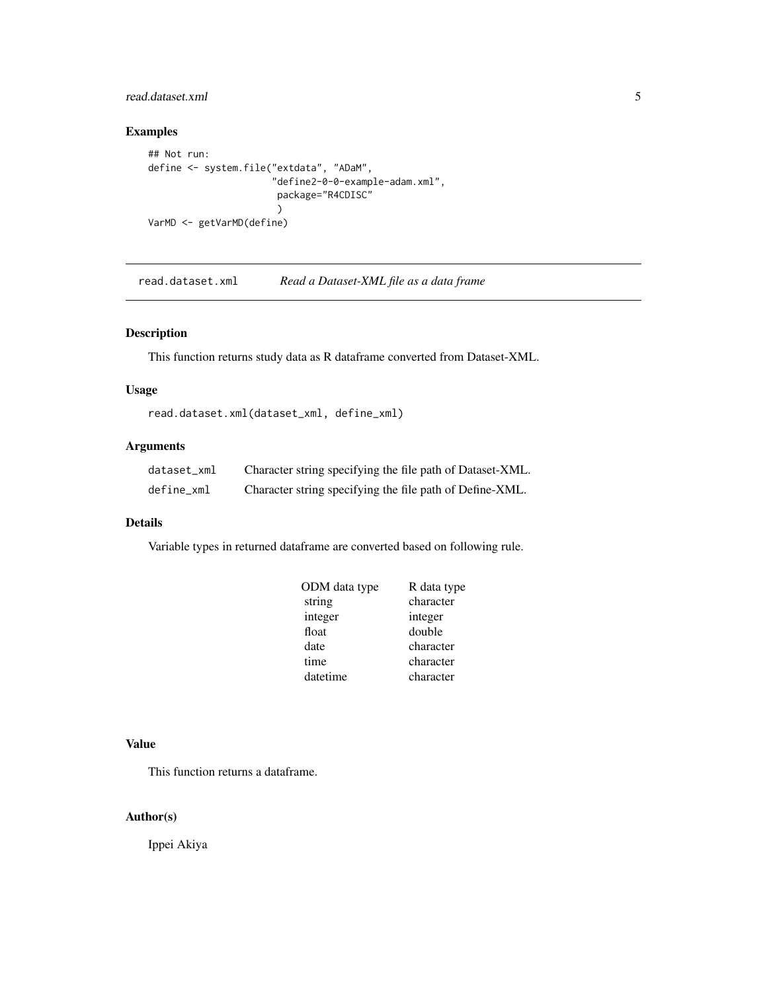#### <span id="page-4-0"></span>read.dataset.xml 5

#### Examples

```
## Not run:
define <- system.file("extdata", "ADaM",
                       "define2-0-0-example-adam.xml",
                        package="R4CDISC"
                        \lambdaVarMD <- getVarMD(define)
```
read.dataset.xml *Read a Dataset-XML file as a data frame*

#### Description

This function returns study data as R dataframe converted from Dataset-XML.

#### Usage

```
read.dataset.xml(dataset_xml, define_xml)
```
#### Arguments

| dataset xml | Character string specifying the file path of Dataset-XML. |
|-------------|-----------------------------------------------------------|
| define xml  | Character string specifying the file path of Define-XML.  |

#### Details

Variable types in returned dataframe are converted based on following rule.

| ODM data type | R data type |
|---------------|-------------|
| string        | character   |
| integer       | integer     |
| float         | double      |
| date          | character   |
| time          | character   |
| datetime      | character   |

#### Value

This function returns a dataframe.

#### Author(s)

Ippei Akiya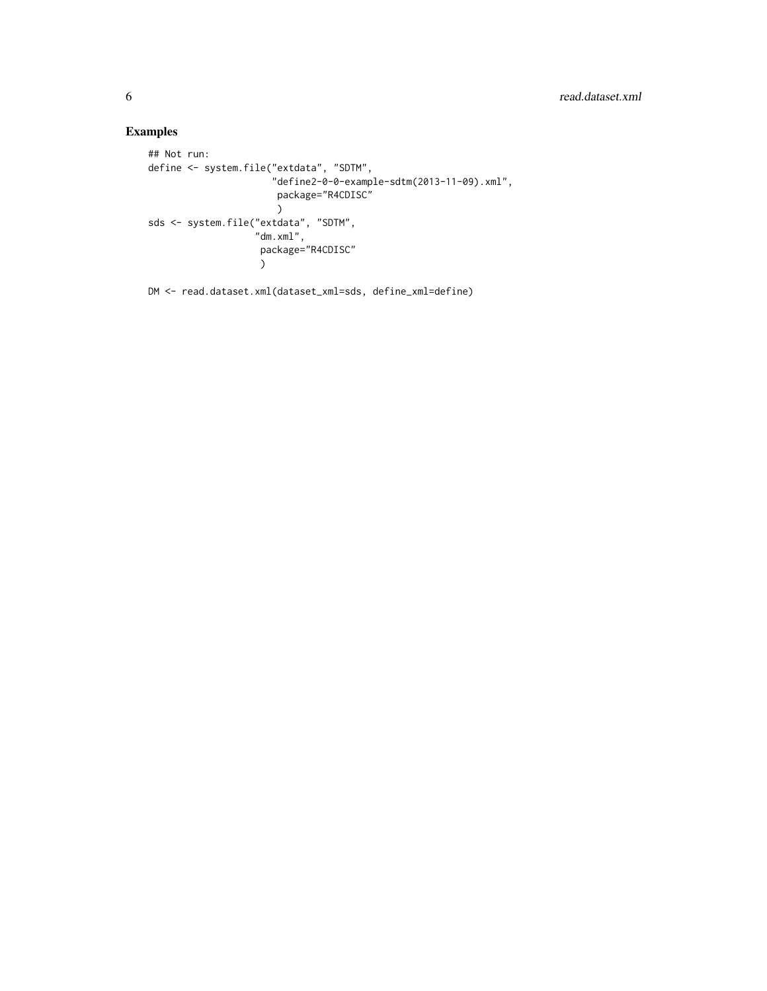#### Examples

```
## Not run:
define <- system.file("extdata", "SDTM",
                      "define2-0-0-example-sdtm(2013-11-09).xml",
                       package="R4CDISC"
                       )
sds <- system.file("extdata", "SDTM",
                    "dm.xml",
                     package="R4CDISC"
                    )
```
DM <- read.dataset.xml(dataset\_xml=sds, define\_xml=define)